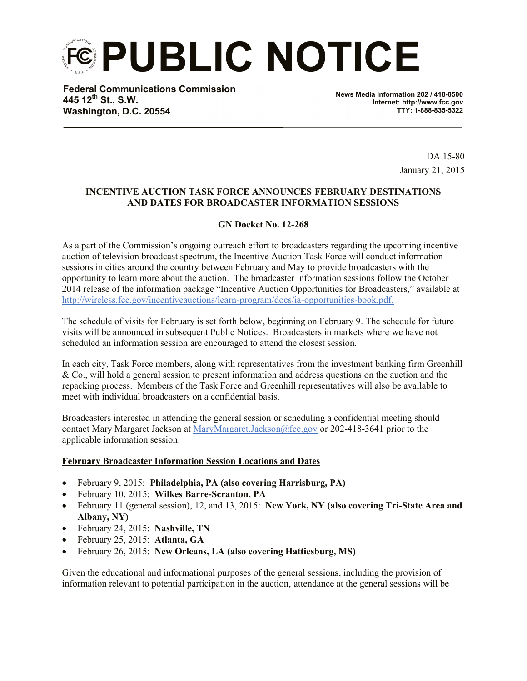**PUBLIC NOTICE**

**Federal Communications Commission 445 12th St., S.W. Washington, D.C. 20554**

**News Media Information 202 / 418-0500 Internet: http://www.fcc.gov TTY: 1-888-835-5322**

> DA 15-80 January 21, 2015

## **INCENTIVE AUCTION TASK FORCE ANNOUNCES FEBRUARY DESTINATIONS AND DATES FOR BROADCASTER INFORMATION SESSIONS**

## **GN Docket No. 12-268**

As a part of the Commission's ongoing outreach effort to broadcasters regarding the upcoming incentive auction of television broadcast spectrum, the Incentive Auction Task Force will conduct information sessions in cities around the country between February and May to provide broadcasters with the opportunity to learn more about the auction. The broadcaster information sessions follow the October 2014 release of the information package "Incentive Auction Opportunities for Broadcasters," available at http://wireless.fcc.gov/incentiveauctions/learn-program/docs/ia-opportunities-book.pdf.

The schedule of visits for February is set forth below, beginning on February 9. The schedule for future visits will be announced in subsequent Public Notices. Broadcasters in markets where we have not scheduled an information session are encouraged to attend the closest session.

In each city, Task Force members, along with representatives from the investment banking firm Greenhill & Co., will hold a general session to present information and address questions on the auction and the repacking process. Members of the Task Force and Greenhill representatives will also be available to meet with individual broadcasters on a confidential basis.

Broadcasters interested in attending the general session or scheduling a confidential meeting should contact Mary Margaret Jackson at MaryMargaret.Jackson@fcc.gov or 202-418-3641 prior to the applicable information session.

## **February Broadcaster Information Session Locations and Dates**

- February 9, 2015: **Philadelphia, PA (also covering Harrisburg, PA)**
- February 10, 2015: **Wilkes Barre-Scranton, PA**
- February 11 (general session), 12, and 13, 2015: **New York, NY (also covering Tri-State Area and Albany, NY)**
- February 24, 2015: **Nashville, TN**
- February 25, 2015: **Atlanta, GA**
- February 26, 2015: **New Orleans, LA (also covering Hattiesburg, MS)**

Given the educational and informational purposes of the general sessions, including the provision of information relevant to potential participation in the auction, attendance at the general sessions will be